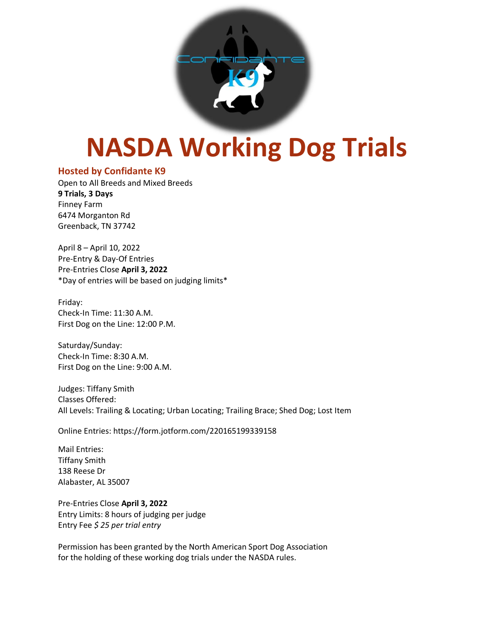

# **NASDA Working Dog Trials**

# **Hosted by Confidante K9**

Open to All Breeds and Mixed Breeds **9 Trials, 3 Days** Finney Farm 6474 Morganton Rd Greenback, TN 37742

April 8 – April 10, 2022 Pre-Entry & Day-Of Entries Pre-Entries Close **April 3, 2022** \*Day of entries will be based on judging limits\*

Friday: Check-In Time: 11:30 A.M. First Dog on the Line: 12:00 P.M.

Saturday/Sunday: Check-In Time: 8:30 A.M. First Dog on the Line: 9:00 A.M.

Judges: Tiffany Smith Classes Offered: All Levels: Trailing & Locating; Urban Locating; Trailing Brace; Shed Dog; Lost Item

Online Entries: https://form.jotform.com/220165199339158

Mail Entries: Tiffany Smith 138 Reese Dr Alabaster, AL 35007

Pre-Entries Close **April 3, 2022** Entry Limits: 8 hours of judging per judge Entry Fee *\$ 25 per trial entry*

Permission has been granted by the North American Sport Dog Association for the holding of these working dog trials under the NASDA rules.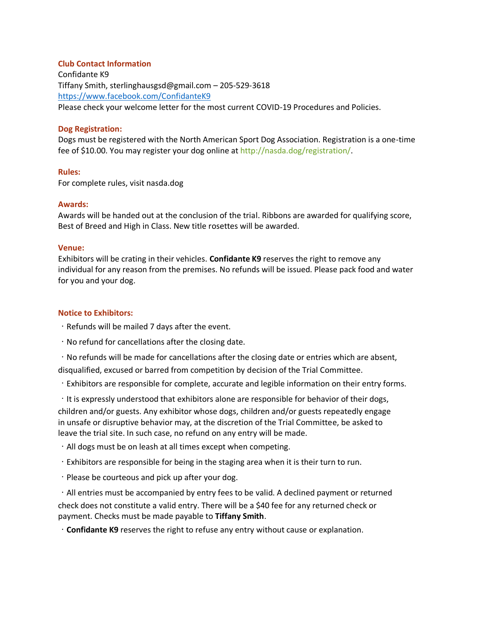#### **Club Contact Information**

Confidante K9 Tiffany Smith, sterlinghausgsd@gmail.com – 205-529-3618 <https://www.facebook.com/ConfidanteK9> Please check your welcome letter for the most current COVID-19 Procedures and Policies.

#### **Dog Registration:**

Dogs must be registered with the North American Sport Dog Association. Registration is a one-time fee of \$10.00. You may register your dog online at http://nasda.dog/registration/.

### **Rules:**

For complete rules, visit nasda.dog

### **Awards:**

Awards will be handed out at the conclusion of the trial. Ribbons are awarded for qualifying score, Best of Breed and High in Class. New title rosettes will be awarded.

## **Venue:**

Exhibitors will be crating in their vehicles. **Confidante K9** reserves the right to remove any individual for any reason from the premises. No refunds will be issued. Please pack food and water for you and your dog.

### **Notice to Exhibitors:**

- Refunds will be mailed 7 days after the event.
- No refund for cancellations after the closing date.

 $\cdot$  No refunds will be made for cancellations after the closing date or entries which are absent, disqualified, excused or barred from competition by decision of the Trial Committee.

Exhibitors are responsible for complete, accurate and legible information on their entry forms.

It is expressly understood that exhibitors alone are responsible for behavior of their dogs, children and/or guests. Any exhibitor whose dogs, children and/or guests repeatedly engage in unsafe or disruptive behavior may, at the discretion of the Trial Committee, be asked to leave the trial site. In such case, no refund on any entry will be made.

- $\cdot$  All dogs must be on leash at all times except when competing.
- Exhibitors are responsible for being in the staging area when it is their turn to run.
- Please be courteous and pick up after your dog.

All entries must be accompanied by entry fees to be valid. A declined payment or returned check does not constitute a valid entry. There will be a \$40 fee for any returned check or payment. Checks must be made payable to **Tiffany Smith**.

**Confidante K9** reserves the right to refuse any entry without cause or explanation.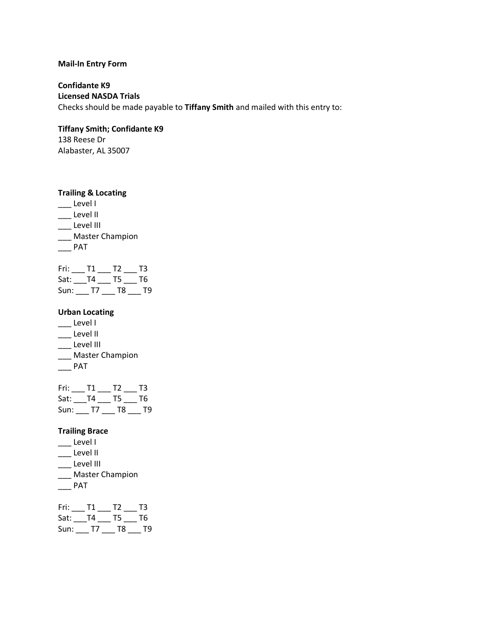## **Mail-In Entry Form**

**Confidante K9 Licensed NASDA Trials** Checks should be made payable to **Tiffany Smith** and mailed with this entry to:

## **Tiffany Smith; Confidante K9**

138 Reese Dr Alabaster, AL 35007

## **Trailing & Locating**

\_\_\_ Level I \_\_\_ Level II \_\_\_ Level III \_\_\_ Master Champion

 $\overline{\phantom{a}}$  PAT

| Fri:    | Т1 | T <sub>2</sub> | ТЗ |
|---------|----|----------------|----|
| Sat: T4 |    | T5.            | Т6 |
| Sun:    | T7 | T8             | тq |

## **Urban Locating**

- \_\_\_ Level I
- \_\_\_ Level II
- \_\_\_ Level III
- \_\_\_ Master Champion
- $\overline{\phantom{a}}$  PAT

| Fri:    | T1. | 12.  | -13 |
|---------|-----|------|-----|
| Sat: T4 |     | T5 — | T6  |
| Sun:    | T/I | T8   | T9  |

# **Trailing Brace**

- $\overline{\phantom{a}}$  Level I
- \_\_\_ Level II
- \_\_\_ Level III
- \_\_\_ Master Champion
- $\overline{\phantom{a}}$  PAT

| Fri: | T1. | T2 | T3 |
|------|-----|----|----|
| Sat: | T4  | T5 | T6 |
| Sun: | T7  | T8 | Т9 |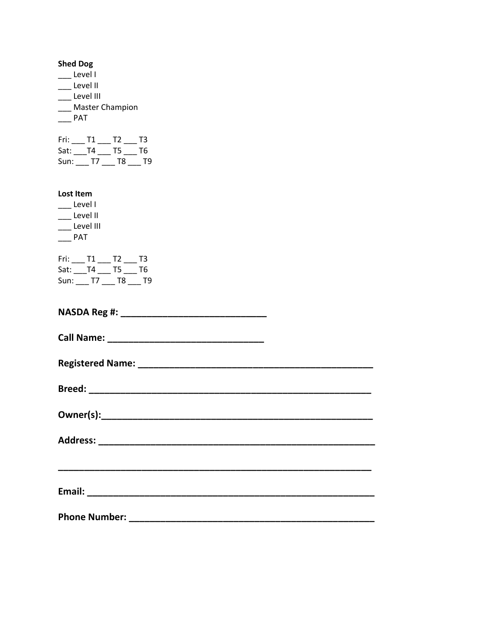| <b>Shed Dog</b><br>Level I<br>__ Level II<br>__ Level III<br>Master Champion<br>$\rule{1em}{0.15mm}$ PAT<br>Fri: ___ T1 ___ T2 ___ T3<br>Sat: T4 T5 T6<br>Sun: T7 T8 T9 |
|-------------------------------------------------------------------------------------------------------------------------------------------------------------------------|
| Lost Item<br>Level I<br>$\rule{1em}{0.15mm}$ Level II<br>___ Level III<br>$\rule{1em}{0.15mm}$ PAT                                                                      |
| $Fri:$ ____ T1 ____ T2 ____ T3<br>Sat: ___T4 ___ T5 ___ T6<br>Sun: T7 T8 T9                                                                                             |
|                                                                                                                                                                         |
|                                                                                                                                                                         |
|                                                                                                                                                                         |
|                                                                                                                                                                         |
|                                                                                                                                                                         |
|                                                                                                                                                                         |
|                                                                                                                                                                         |
|                                                                                                                                                                         |
|                                                                                                                                                                         |